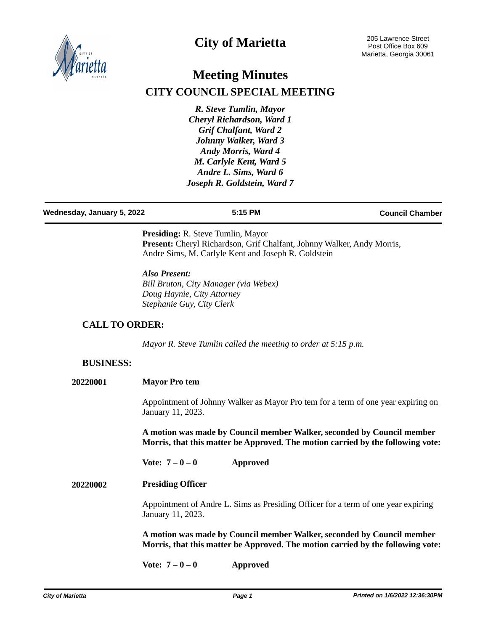

# **City of Marietta**

# **Meeting Minutes CITY COUNCIL SPECIAL MEETING**

*R. Steve Tumlin, Mayor Cheryl Richardson, Ward 1 Grif Chalfant, Ward 2 Johnny Walker, Ward 3 Andy Morris, Ward 4 M. Carlyle Kent, Ward 5 Andre L. Sims, Ward 6 Joseph R. Goldstein, Ward 7*

### **Wednesday, January 5, 2022 5:15 PM Council Chamber**

**Presiding:** R. Steve Tumlin, Mayor Present: Cheryl Richardson, Grif Chalfant, Johnny Walker, Andy Morris, Andre Sims, M. Carlyle Kent and Joseph R. Goldstein

*Also Present: Bill Bruton, City Manager (via Webex) Doug Haynie, City Attorney Stephanie Guy, City Clerk*

## **CALL TO ORDER:**

*Mayor R. Steve Tumlin called the meeting to order at 5:15 p.m.*

## **BUSINESS:**

| 20220001 | <b>Mayor Pro tem</b> |  |
|----------|----------------------|--|
|          |                      |  |

Appointment of Johnny Walker as Mayor Pro tem for a term of one year expiring on January 11, 2023.

**A motion was made by Council member Walker, seconded by Council member Morris, that this matter be Approved. The motion carried by the following vote:**

**Vote: 7 – 0 – 0 Approved**

### **20220002 Presiding Officer**

Appointment of Andre L. Sims as Presiding Officer for a term of one year expiring January 11, 2023.

**A motion was made by Council member Walker, seconded by Council member Morris, that this matter be Approved. The motion carried by the following vote:**

**Vote: 7 – 0 – 0 Approved**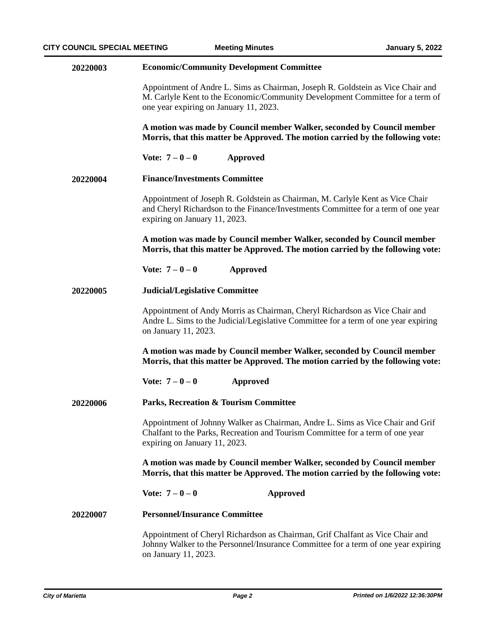| 20220003 | <b>Economic/Community Development Committee</b>                                                                                                                                                            |  |  |
|----------|------------------------------------------------------------------------------------------------------------------------------------------------------------------------------------------------------------|--|--|
|          | Appointment of Andre L. Sims as Chairman, Joseph R. Goldstein as Vice Chair and<br>M. Carlyle Kent to the Economic/Community Development Committee for a term of<br>one year expiring on January 11, 2023. |  |  |
|          | A motion was made by Council member Walker, seconded by Council member<br>Morris, that this matter be Approved. The motion carried by the following vote:                                                  |  |  |
|          | Vote: $7 - 0 - 0$<br>Approved                                                                                                                                                                              |  |  |
| 20220004 | <b>Finance/Investments Committee</b>                                                                                                                                                                       |  |  |
|          | Appointment of Joseph R. Goldstein as Chairman, M. Carlyle Kent as Vice Chair<br>and Cheryl Richardson to the Finance/Investments Committee for a term of one year<br>expiring on January 11, 2023.        |  |  |
|          | A motion was made by Council member Walker, seconded by Council member<br>Morris, that this matter be Approved. The motion carried by the following vote:                                                  |  |  |
|          | Vote: $7 - 0 - 0$<br><b>Approved</b>                                                                                                                                                                       |  |  |
| 20220005 | <b>Judicial/Legislative Committee</b>                                                                                                                                                                      |  |  |
|          | Appointment of Andy Morris as Chairman, Cheryl Richardson as Vice Chair and<br>Andre L. Sims to the Judicial/Legislative Committee for a term of one year expiring<br>on January 11, 2023.                 |  |  |
|          | A motion was made by Council member Walker, seconded by Council member<br>Morris, that this matter be Approved. The motion carried by the following vote:                                                  |  |  |
|          | Vote: $7 - 0 - 0$<br><b>Approved</b>                                                                                                                                                                       |  |  |
| 20220006 | <b>Parks, Recreation &amp; Tourism Committee</b>                                                                                                                                                           |  |  |
|          | Appointment of Johnny Walker as Chairman, Andre L. Sims as Vice Chair and Grif<br>Chalfant to the Parks, Recreation and Tourism Committee for a term of one year<br>expiring on January 11, 2023.          |  |  |
|          | A motion was made by Council member Walker, seconded by Council member<br>Morris, that this matter be Approved. The motion carried by the following vote:                                                  |  |  |
|          | Vote: $7 - 0 - 0$<br><b>Approved</b>                                                                                                                                                                       |  |  |
| 20220007 | <b>Personnel/Insurance Committee</b>                                                                                                                                                                       |  |  |
|          | Appointment of Cheryl Richardson as Chairman, Grif Chalfant as Vice Chair and<br>Johnny Walker to the Personnel/Insurance Committee for a term of one year expiring<br>on January 11, 2023.                |  |  |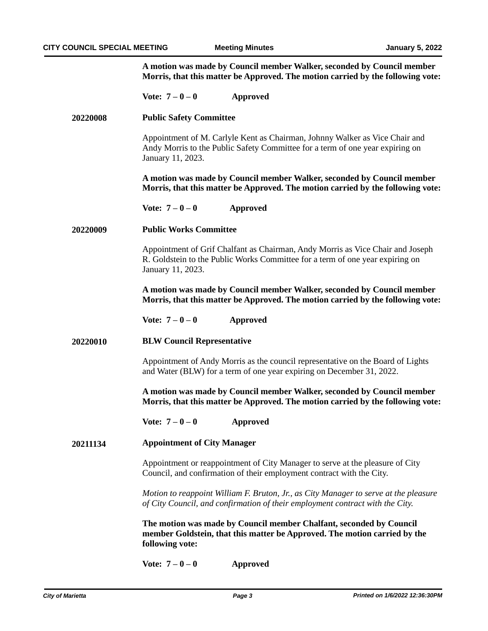**A motion was made by Council member Walker, seconded by Council member Morris, that this matter be Approved. The motion carried by the following vote:**

|          | Vote: $7 - 0 - 0$<br><b>Approved</b>                                                                                                                                                 |  |  |
|----------|--------------------------------------------------------------------------------------------------------------------------------------------------------------------------------------|--|--|
| 20220008 | <b>Public Safety Committee</b>                                                                                                                                                       |  |  |
|          | Appointment of M. Carlyle Kent as Chairman, Johnny Walker as Vice Chair and<br>Andy Morris to the Public Safety Committee for a term of one year expiring on<br>January 11, 2023.    |  |  |
|          | A motion was made by Council member Walker, seconded by Council member<br>Morris, that this matter be Approved. The motion carried by the following vote:                            |  |  |
|          | Vote: $7 - 0 - 0$<br><b>Approved</b>                                                                                                                                                 |  |  |
| 20220009 | <b>Public Works Committee</b>                                                                                                                                                        |  |  |
|          | Appointment of Grif Chalfant as Chairman, Andy Morris as Vice Chair and Joseph<br>R. Goldstein to the Public Works Committee for a term of one year expiring on<br>January 11, 2023. |  |  |
|          | A motion was made by Council member Walker, seconded by Council member<br>Morris, that this matter be Approved. The motion carried by the following vote:                            |  |  |
|          | Vote: $7 - 0 - 0$<br><b>Approved</b>                                                                                                                                                 |  |  |
| 20220010 | <b>BLW Council Representative</b>                                                                                                                                                    |  |  |
|          | Appointment of Andy Morris as the council representative on the Board of Lights<br>and Water (BLW) for a term of one year expiring on December 31, 2022.                             |  |  |
|          | A motion was made by Council member Walker, seconded by Council member<br>Morris, that this matter be Approved. The motion carried by the following vote:                            |  |  |
|          | Vote: $7 - 0 - 0$<br><b>Approved</b>                                                                                                                                                 |  |  |
| 20211134 | <b>Appointment of City Manager</b>                                                                                                                                                   |  |  |
|          | Appointment or reappointment of City Manager to serve at the pleasure of City<br>Council, and confirmation of their employment contract with the City.                               |  |  |
|          | Motion to reappoint William F. Bruton, Jr., as City Manager to serve at the pleasure<br>of City Council, and confirmation of their employment contract with the City.                |  |  |
|          | The motion was made by Council member Chalfant, seconded by Council<br>member Goldstein, that this matter be Approved. The motion carried by the<br>following vote:                  |  |  |
|          | Vote: $7 - 0 - 0$<br><b>Approved</b>                                                                                                                                                 |  |  |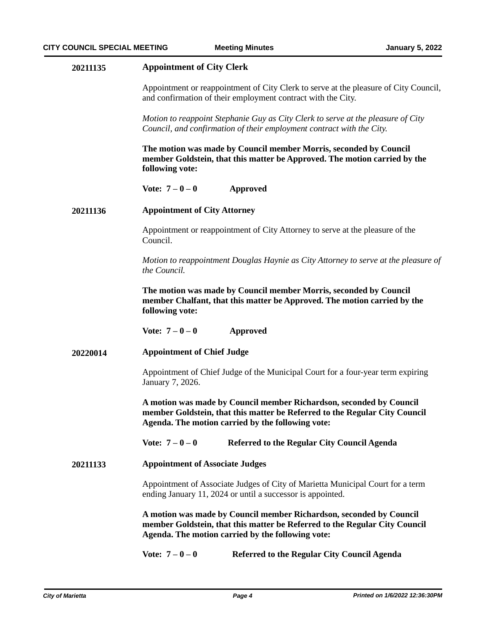### **20211135 Appointment of City Clerk**

Appointment or reappointment of City Clerk to serve at the pleasure of City Council, and confirmation of their employment contract with the City.

*Motion to reappoint Stephanie Guy as City Clerk to serve at the pleasure of City Council, and confirmation of their employment contract with the City.*

**The motion was made by Council member Morris, seconded by Council member Goldstein, that this matter be Approved. The motion carried by the following vote:**

**Vote: 7 – 0 – 0 Approved**

#### **Appointment of City Attorney 20211136**

Appointment or reappointment of City Attorney to serve at the pleasure of the Council.

*Motion to reappointment Douglas Haynie as City Attorney to serve at the pleasure of the Council.*

**The motion was made by Council member Morris, seconded by Council member Chalfant, that this matter be Approved. The motion carried by the following vote:**

**Vote: 7 – 0 – 0 Approved**

#### **Appointment of Chief Judge 20220014**

Appointment of Chief Judge of the Municipal Court for a four-year term expiring January 7, 2026.

**A motion was made by Council member Richardson, seconded by Council member Goldstein, that this matter be Referred to the Regular City Council Agenda. The motion carried by the following vote:**

**Vote: 7 – 0 – 0 Referred to the Regular City Council Agenda**

#### **Appointment of Associate Judges 20211133**

Appointment of Associate Judges of City of Marietta Municipal Court for a term ending January 11, 2024 or until a successor is appointed.

**A motion was made by Council member Richardson, seconded by Council member Goldstein, that this matter be Referred to the Regular City Council Agenda. The motion carried by the following vote:**

Vote:  $7 - 0 - 0$  Referred to the Regular City Council Agenda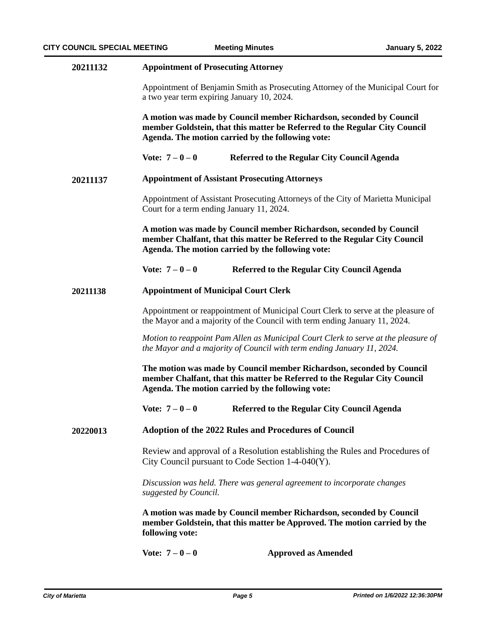| 20211132 | <b>Appointment of Prosecuting Attorney</b>                                                                                                                                                              |                                             |  |
|----------|---------------------------------------------------------------------------------------------------------------------------------------------------------------------------------------------------------|---------------------------------------------|--|
|          | Appointment of Benjamin Smith as Prosecuting Attorney of the Municipal Court for<br>a two year term expiring January 10, 2024.                                                                          |                                             |  |
|          | A motion was made by Council member Richardson, seconded by Council<br>member Goldstein, that this matter be Referred to the Regular City Council<br>Agenda. The motion carried by the following vote:  |                                             |  |
|          | Vote: $7 - 0 - 0$                                                                                                                                                                                       | Referred to the Regular City Council Agenda |  |
| 20211137 | <b>Appointment of Assistant Prosecuting Attorneys</b>                                                                                                                                                   |                                             |  |
|          | Appointment of Assistant Prosecuting Attorneys of the City of Marietta Municipal<br>Court for a term ending January 11, 2024.                                                                           |                                             |  |
|          | A motion was made by Council member Richardson, seconded by Council<br>member Chalfant, that this matter be Referred to the Regular City Council<br>Agenda. The motion carried by the following vote:   |                                             |  |
|          | Vote: $7 - 0 - 0$                                                                                                                                                                                       | Referred to the Regular City Council Agenda |  |
| 20211138 | <b>Appointment of Municipal Court Clerk</b>                                                                                                                                                             |                                             |  |
|          | Appointment or reappointment of Municipal Court Clerk to serve at the pleasure of<br>the Mayor and a majority of the Council with term ending January 11, 2024.                                         |                                             |  |
|          | Motion to reappoint Pam Allen as Municipal Court Clerk to serve at the pleasure of<br>the Mayor and a majority of Council with term ending January 11, 2024.                                            |                                             |  |
|          | The motion was made by Council member Richardson, seconded by Council<br>member Chalfant, that this matter be Referred to the Regular City Council<br>Agenda. The motion carried by the following vote: |                                             |  |
|          | Vote: $7 - 0 - 0$                                                                                                                                                                                       | Referred to the Regular City Council Agenda |  |
| 20220013 | <b>Adoption of the 2022 Rules and Procedures of Council</b>                                                                                                                                             |                                             |  |
|          | Review and approval of a Resolution establishing the Rules and Procedures of<br>City Council pursuant to Code Section 1-4-040(Y).                                                                       |                                             |  |
|          | Discussion was held. There was general agreement to incorporate changes<br>suggested by Council.                                                                                                        |                                             |  |
|          | A motion was made by Council member Richardson, seconded by Council<br>member Goldstein, that this matter be Approved. The motion carried by the<br>following vote:                                     |                                             |  |
|          | Vote: $7 - 0 - 0$                                                                                                                                                                                       | <b>Approved as Amended</b>                  |  |